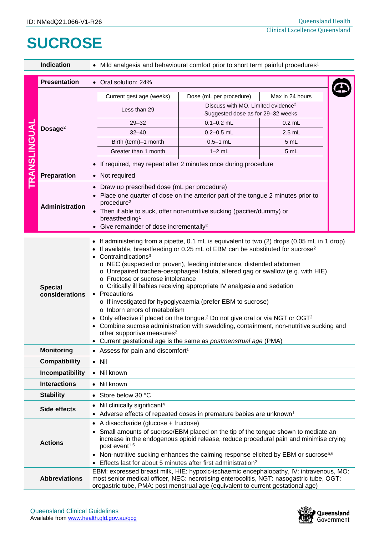## **SUCROSE**

|                     | <b>Indication</b>                                                                                                                                                                                                                                                                                                                                                                                                                                               | • Mild analgesia and behavioural comfort prior to short term painful procedures <sup>1</sup>                                                                                                                                                                                                                                                                                                                                                                                                                                                                                                                                                                                                                                                                                                                                                                                                                                                   |                                                                                                                                                                                                                                                             |                 |  |  |  |  |
|---------------------|-----------------------------------------------------------------------------------------------------------------------------------------------------------------------------------------------------------------------------------------------------------------------------------------------------------------------------------------------------------------------------------------------------------------------------------------------------------------|------------------------------------------------------------------------------------------------------------------------------------------------------------------------------------------------------------------------------------------------------------------------------------------------------------------------------------------------------------------------------------------------------------------------------------------------------------------------------------------------------------------------------------------------------------------------------------------------------------------------------------------------------------------------------------------------------------------------------------------------------------------------------------------------------------------------------------------------------------------------------------------------------------------------------------------------|-------------------------------------------------------------------------------------------------------------------------------------------------------------------------------------------------------------------------------------------------------------|-----------------|--|--|--|--|
|                     | <b>Presentation</b>                                                                                                                                                                                                                                                                                                                                                                                                                                             | • Oral solution: 24%                                                                                                                                                                                                                                                                                                                                                                                                                                                                                                                                                                                                                                                                                                                                                                                                                                                                                                                           |                                                                                                                                                                                                                                                             |                 |  |  |  |  |
| <b>TRANSLINGUAL</b> | Dosage $2$                                                                                                                                                                                                                                                                                                                                                                                                                                                      | Current gest age (weeks)<br>Less than 29                                                                                                                                                                                                                                                                                                                                                                                                                                                                                                                                                                                                                                                                                                                                                                                                                                                                                                       | Dose (mL per procedure)<br>Discuss with MO. Limited evidence <sup>2</sup>                                                                                                                                                                                   | Max in 24 hours |  |  |  |  |
|                     |                                                                                                                                                                                                                                                                                                                                                                                                                                                                 |                                                                                                                                                                                                                                                                                                                                                                                                                                                                                                                                                                                                                                                                                                                                                                                                                                                                                                                                                | Suggested dose as for 29-32 weeks                                                                                                                                                                                                                           |                 |  |  |  |  |
|                     |                                                                                                                                                                                                                                                                                                                                                                                                                                                                 | $29 - 32$                                                                                                                                                                                                                                                                                                                                                                                                                                                                                                                                                                                                                                                                                                                                                                                                                                                                                                                                      | $0.1 - 0.2$ mL                                                                                                                                                                                                                                              | $0.2$ mL        |  |  |  |  |
|                     |                                                                                                                                                                                                                                                                                                                                                                                                                                                                 | $32 - 40$                                                                                                                                                                                                                                                                                                                                                                                                                                                                                                                                                                                                                                                                                                                                                                                                                                                                                                                                      | $0.2 - 0.5$ mL                                                                                                                                                                                                                                              | $2.5$ mL        |  |  |  |  |
|                     |                                                                                                                                                                                                                                                                                                                                                                                                                                                                 | Birth (term)-1 month<br>Greater than 1 month                                                                                                                                                                                                                                                                                                                                                                                                                                                                                                                                                                                                                                                                                                                                                                                                                                                                                                   | $0.5 - 1$ mL<br>$1-2$ mL                                                                                                                                                                                                                                    | 5 mL            |  |  |  |  |
|                     |                                                                                                                                                                                                                                                                                                                                                                                                                                                                 |                                                                                                                                                                                                                                                                                                                                                                                                                                                                                                                                                                                                                                                                                                                                                                                                                                                                                                                                                |                                                                                                                                                                                                                                                             | 5 mL            |  |  |  |  |
|                     |                                                                                                                                                                                                                                                                                                                                                                                                                                                                 | If required, may repeat after 2 minutes once during procedure                                                                                                                                                                                                                                                                                                                                                                                                                                                                                                                                                                                                                                                                                                                                                                                                                                                                                  |                                                                                                                                                                                                                                                             |                 |  |  |  |  |
|                     | Preparation                                                                                                                                                                                                                                                                                                                                                                                                                                                     | • Not required                                                                                                                                                                                                                                                                                                                                                                                                                                                                                                                                                                                                                                                                                                                                                                                                                                                                                                                                 |                                                                                                                                                                                                                                                             |                 |  |  |  |  |
|                     | Administration                                                                                                                                                                                                                                                                                                                                                                                                                                                  | procedure <sup>2</sup><br>breastfeeding <sup>1</sup>                                                                                                                                                                                                                                                                                                                                                                                                                                                                                                                                                                                                                                                                                                                                                                                                                                                                                           | Draw up prescribed dose (mL per procedure)<br>Place one quarter of dose on the anterior part of the tongue 2 minutes prior to<br>Then if able to suck, offer non-nutritive sucking (pacifier/dummy) or<br>Give remainder of dose incrementally <sup>2</sup> |                 |  |  |  |  |
|                     | <b>Special</b><br>considerations                                                                                                                                                                                                                                                                                                                                                                                                                                | • If administering from a pipette, 0.1 mL is equivalent to two (2) drops (0.05 mL in 1 drop)<br>If available, breastfeeding or 0.25 mL of EBM can be substituted for sucrose <sup>2</sup><br>Contraindications <sup>3</sup><br>o NEC (suspected or proven), feeding intolerance, distended abdomen<br>$\circ$ Unrepaired trachea-oesophageal fistula, altered gag or swallow (e.g. with HIE)<br>o Fructose or sucrose intolerance<br>o Critically ill babies receiving appropriate IV analgesia and sedation<br>Precautions<br>o If investigated for hypoglycaemia (prefer EBM to sucrose)<br>o Inborn errors of metabolism<br>• Only effective if placed on the tongue. <sup>2</sup> Do not give oral or via NGT or OGT <sup>2</sup><br>• Combine sucrose administration with swaddling, containment, non-nutritive sucking and<br>other supportive measures <sup>2</sup><br>• Current gestational age is the same as postmenstrual age (PMA) |                                                                                                                                                                                                                                                             |                 |  |  |  |  |
|                     | <b>Monitoring</b>                                                                                                                                                                                                                                                                                                                                                                                                                                               | • Assess for pain and discomfort <sup>1</sup>                                                                                                                                                                                                                                                                                                                                                                                                                                                                                                                                                                                                                                                                                                                                                                                                                                                                                                  |                                                                                                                                                                                                                                                             |                 |  |  |  |  |
|                     | <b>Compatibility</b>                                                                                                                                                                                                                                                                                                                                                                                                                                            | $\bullet$ Nil                                                                                                                                                                                                                                                                                                                                                                                                                                                                                                                                                                                                                                                                                                                                                                                                                                                                                                                                  |                                                                                                                                                                                                                                                             |                 |  |  |  |  |
|                     | <b>Incompatibility</b>                                                                                                                                                                                                                                                                                                                                                                                                                                          | • Nil known                                                                                                                                                                                                                                                                                                                                                                                                                                                                                                                                                                                                                                                                                                                                                                                                                                                                                                                                    |                                                                                                                                                                                                                                                             |                 |  |  |  |  |
|                     | <b>Interactions</b>                                                                                                                                                                                                                                                                                                                                                                                                                                             | • Nil known                                                                                                                                                                                                                                                                                                                                                                                                                                                                                                                                                                                                                                                                                                                                                                                                                                                                                                                                    |                                                                                                                                                                                                                                                             |                 |  |  |  |  |
|                     | <b>Stability</b>                                                                                                                                                                                                                                                                                                                                                                                                                                                | • Store below 30 °C                                                                                                                                                                                                                                                                                                                                                                                                                                                                                                                                                                                                                                                                                                                                                                                                                                                                                                                            |                                                                                                                                                                                                                                                             |                 |  |  |  |  |
|                     | Side effects                                                                                                                                                                                                                                                                                                                                                                                                                                                    | Nil clinically significant <sup>4</sup><br>• Adverse effects of repeated doses in premature babies are unknown <sup>1</sup>                                                                                                                                                                                                                                                                                                                                                                                                                                                                                                                                                                                                                                                                                                                                                                                                                    |                                                                                                                                                                                                                                                             |                 |  |  |  |  |
|                     | • A disaccharide (glucose + fructose)<br>• Small amounts of sucrose/EBM placed on the tip of the tongue shown to mediate an<br>increase in the endogenous opioid release, reduce procedural pain and minimise crying<br><b>Actions</b><br>post event <sup>1,5</sup><br>• Non-nutritive sucking enhances the calming response elicited by EBM or sucrose <sup>5,6</sup><br>Effects last for about 5 minutes after first administration <sup>2</sup><br>$\bullet$ |                                                                                                                                                                                                                                                                                                                                                                                                                                                                                                                                                                                                                                                                                                                                                                                                                                                                                                                                                |                                                                                                                                                                                                                                                             |                 |  |  |  |  |
|                     | <b>Abbreviations</b>                                                                                                                                                                                                                                                                                                                                                                                                                                            | EBM: expressed breast milk, HIE: hypoxic-ischaemic encephalopathy, IV: intravenous, MO:<br>most senior medical officer, NEC: necrotising enterocolitis, NGT: nasogastric tube, OGT:<br>orogastric tube, PMA: post menstrual age (equivalent to current gestational age)                                                                                                                                                                                                                                                                                                                                                                                                                                                                                                                                                                                                                                                                        |                                                                                                                                                                                                                                                             |                 |  |  |  |  |